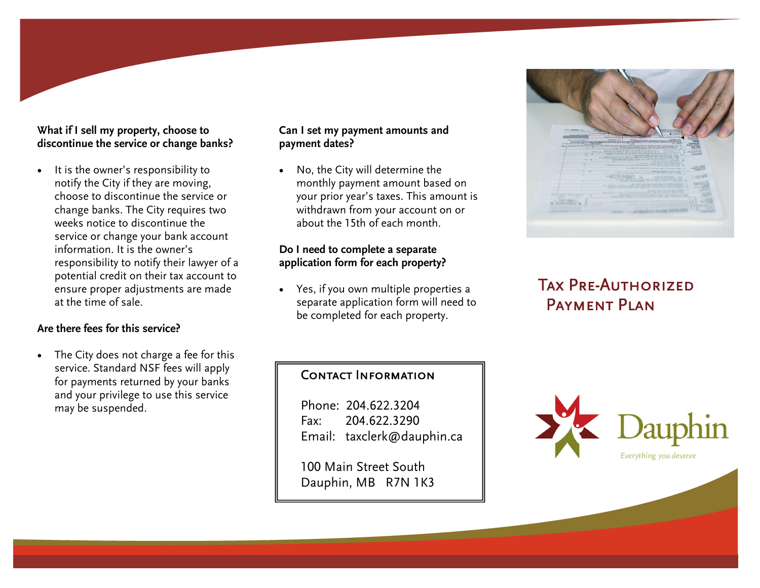#### **What if I sell my property, choose to discontinue the service or change banks?**

It is the owner's responsibility to notify the City if they are moving, choose to discontinue the service or change banks. The City requires two weeks notice to discontinue the service or change your bank account information. It is the owner's responsibility to notify their lawyer of a potential credit on their tax account to ensure proper adjustments are made at the time of sale.

## **Are there fees for this service?**

• The City does not charge a fee for this service. Standard NSF fees will apply for payments returned by your banks and your privilege to use this service may be suspended.

#### **Can I set my payment amounts and payment dates?**

• No, the City will determine the monthly payment amount based on your prior year's taxes. This amount is withdrawn from your account on or about the 15th of each month.

## **Do I need to complete a separate application form for each property?**

• Yes, if you own multiple properties a separate application form will need to be completed for each property.



# Tax Pre-Authorized Payment Plan

# Contact Information

 Phone: 204.622.3204  $F_{\text{av}}$ : 204 622 3290 Email: taxclerk@dauphin.ca

 100 Main Street South Dauphin, MB R7N 1K3